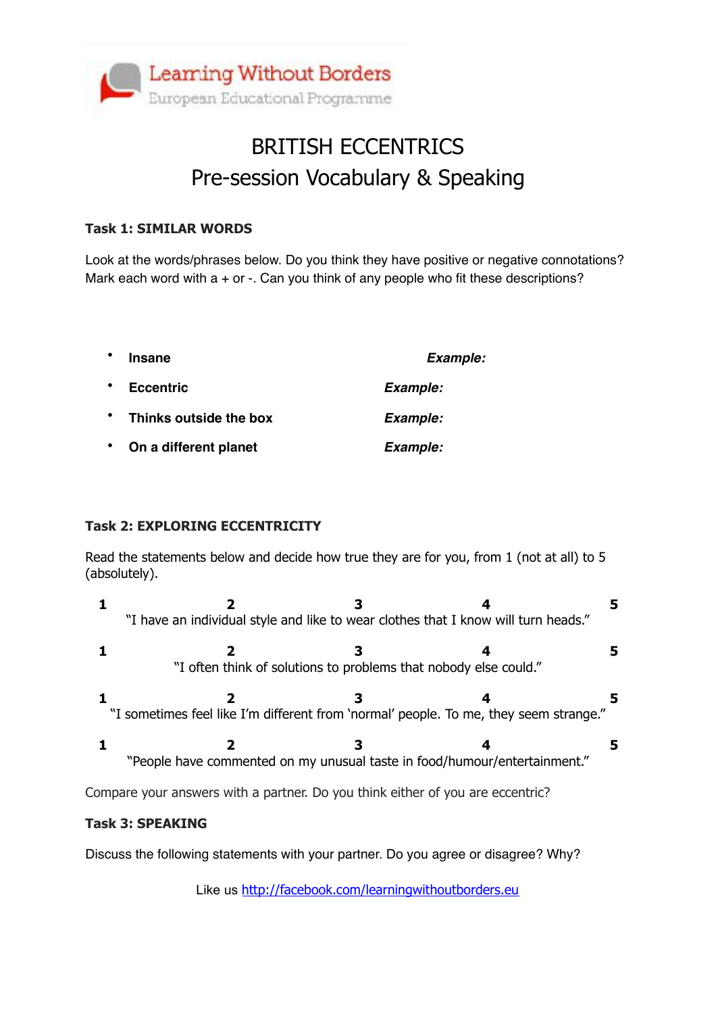

## BRITISH ECCENTRICS Pre-session Vocabulary & Speaking

#### **Task 1: SIMILAR WORDS**

Look at the words/phrases below. Do you think they have positive or negative connotations? Mark each word with  $a + or -$ . Can you think of any people who fit these descriptions?

| $\bullet$ | <b>Insane</b>          | <b>Example:</b> |
|-----------|------------------------|-----------------|
| $\bullet$ | <b>Eccentric</b>       | Example:        |
| $\bullet$ | Thinks outside the box | Example:        |
| $\bullet$ | On a different planet  | Example:        |

#### **Task 2: EXPLORING ECCENTRICITY**

Read the statements below and decide how true they are for you, from 1 (not at all) to 5 (absolutely).

| "I have an individual style and like to wear clothes that I know will turn heads."    |  |  |  |
|---------------------------------------------------------------------------------------|--|--|--|
|                                                                                       |  |  |  |
| "I often think of solutions to problems that nobody else could."                      |  |  |  |
| "I sometimes feel like I'm different from 'normal' people. To me, they seem strange." |  |  |  |
| "People have commented on my unusual taste in food/humour/entertainment."             |  |  |  |
| Compare your answers with a partner. Do you think either of you are eccentric?        |  |  |  |

#### **Task 3: SPEAKING**

Discuss the following statements with your partner. Do you agree or disagree? Why?

Like us <http://facebook.com/learningwithoutborders.eu>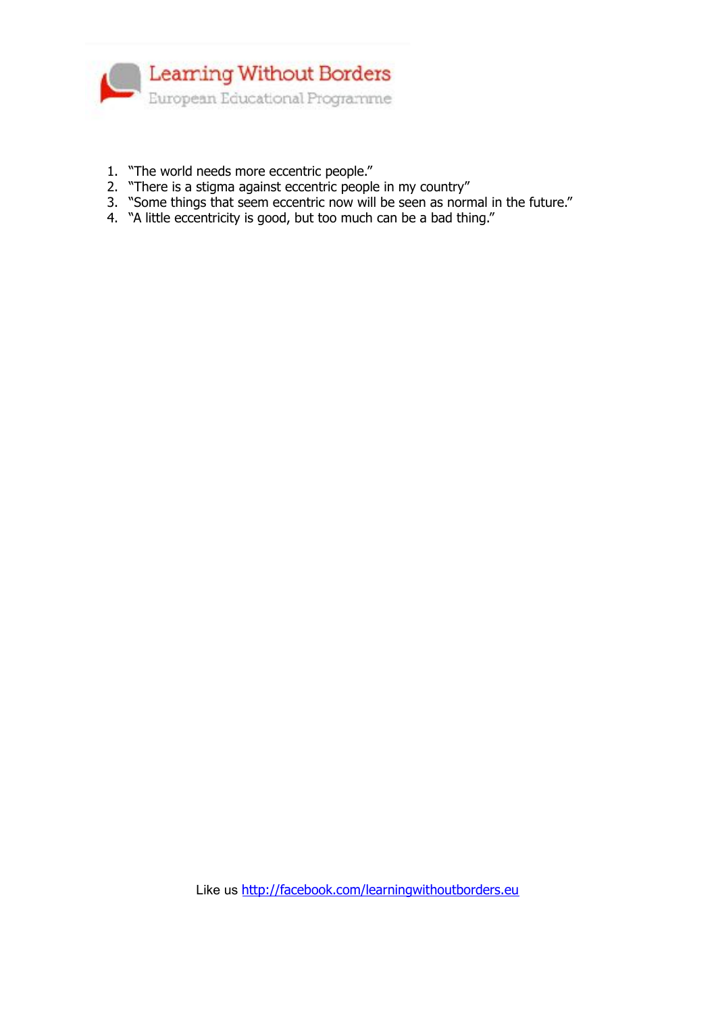

- 1. "The world needs more eccentric people."
- 2. "There is a stigma against eccentric people in my country"
- 3. "Some things that seem eccentric now will be seen as normal in the future."
- 4. "A little eccentricity is good, but too much can be a bad thing."